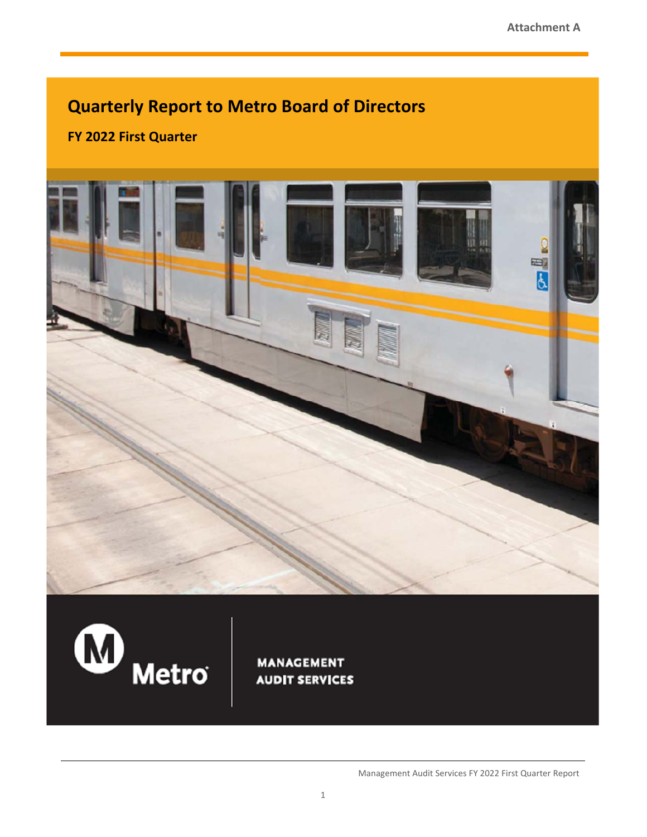# **Quarterly Report to Metro Board of Directors**

**FY 2022 First Quarter** 





**MANAGEMENT AUDIT SERVICES** 

Management Audit Services FY 2022 First Quarter Report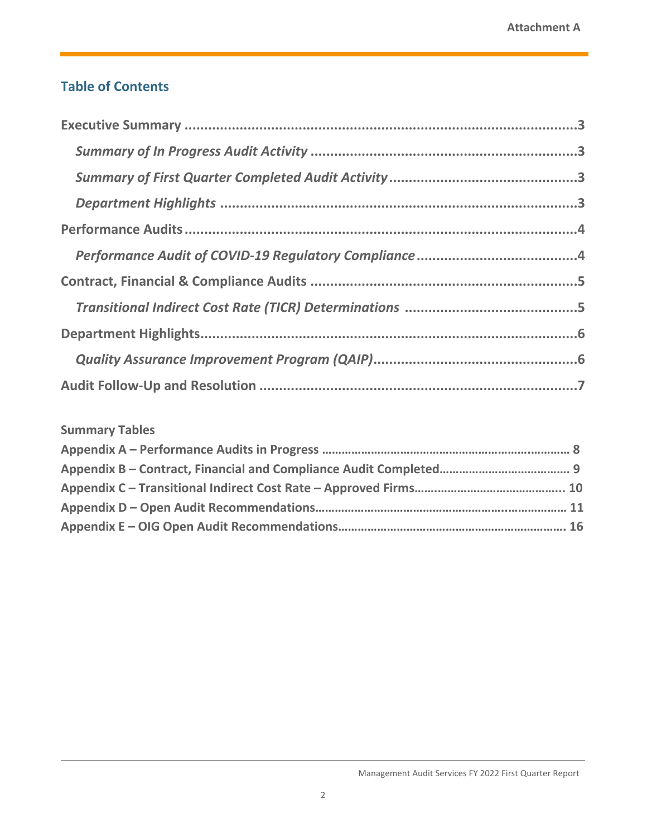# **Table of Contents**

# **Summary Tables**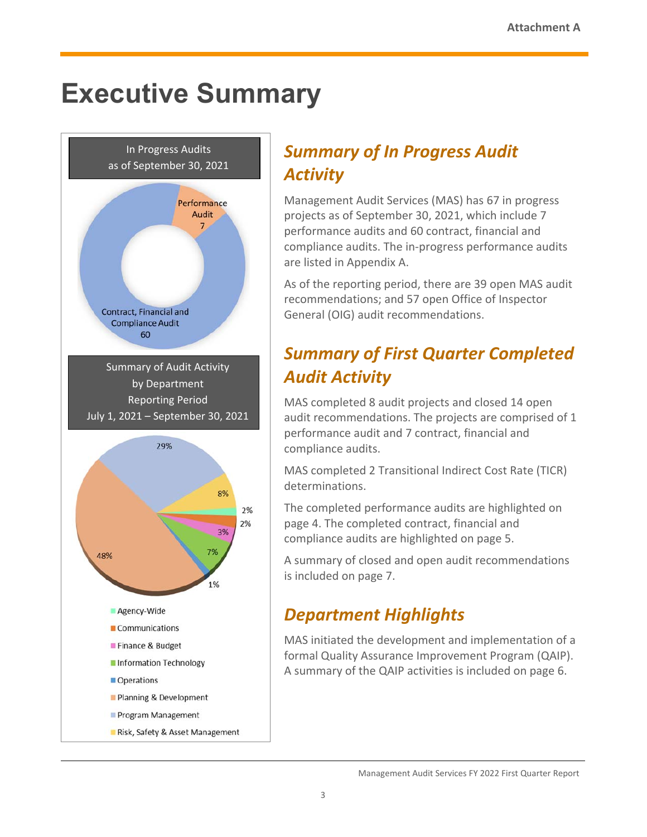# **Executive Summary**



# *Summary of In Progress Audit Activity*

Management Audit Services (MAS) has 67 in progress projects as of September 30, 2021, which include 7 performance audits and 60 contract, financial and compliance audits. The in‐progress performance audits are listed in Appendix A.

As of the reporting period, there are 39 open MAS audit recommendations; and 57 open Office of Inspector General (OIG) audit recommendations.

# *Summary of First Quarter Completed Audit Activity*

MAS completed 8 audit projects and closed 14 open audit recommendations. The projects are comprised of 1 performance audit and 7 contract, financial and compliance audits.

MAS completed 2 Transitional Indirect Cost Rate (TICR) determinations.

The completed performance audits are highlighted on page 4. The completed contract, financial and compliance audits are highlighted on page 5.

A summary of closed and open audit recommendations is included on page 7.

# *Department Highlights*

MAS initiated the development and implementation of a formal Quality Assurance Improvement Program (QAIP). A summary of the QAIP activities is included on page 6.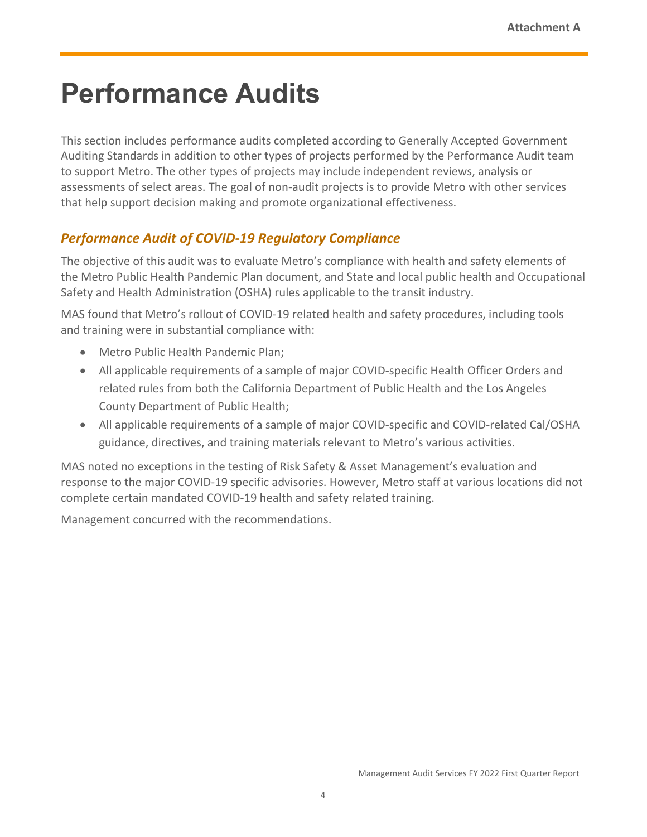# **Performance Audits**

This section includes performance audits completed according to Generally Accepted Government Auditing Standards in addition to other types of projects performed by the Performance Audit team to support Metro. The other types of projects may include independent reviews, analysis or assessments of select areas. The goal of non‐audit projects is to provide Metro with other services that help support decision making and promote organizational effectiveness.

# *Performance Audit of COVID‐19 Regulatory Compliance*

The objective of this audit was to evaluate Metro's compliance with health and safety elements of the Metro Public Health Pandemic Plan document, and State and local public health and Occupational Safety and Health Administration (OSHA) rules applicable to the transit industry.

MAS found that Metro's rollout of COVID‐19 related health and safety procedures, including tools and training were in substantial compliance with:

- Metro Public Health Pandemic Plan;
- All applicable requirements of a sample of major COVID-specific Health Officer Orders and related rules from both the California Department of Public Health and the Los Angeles County Department of Public Health;
- All applicable requirements of a sample of major COVID-specific and COVID-related Cal/OSHA guidance, directives, and training materials relevant to Metro's various activities.

MAS noted no exceptions in the testing of Risk Safety & Asset Management's evaluation and response to the major COVID‐19 specific advisories. However, Metro staff at various locations did not complete certain mandated COVID‐19 health and safety related training.

Management concurred with the recommendations.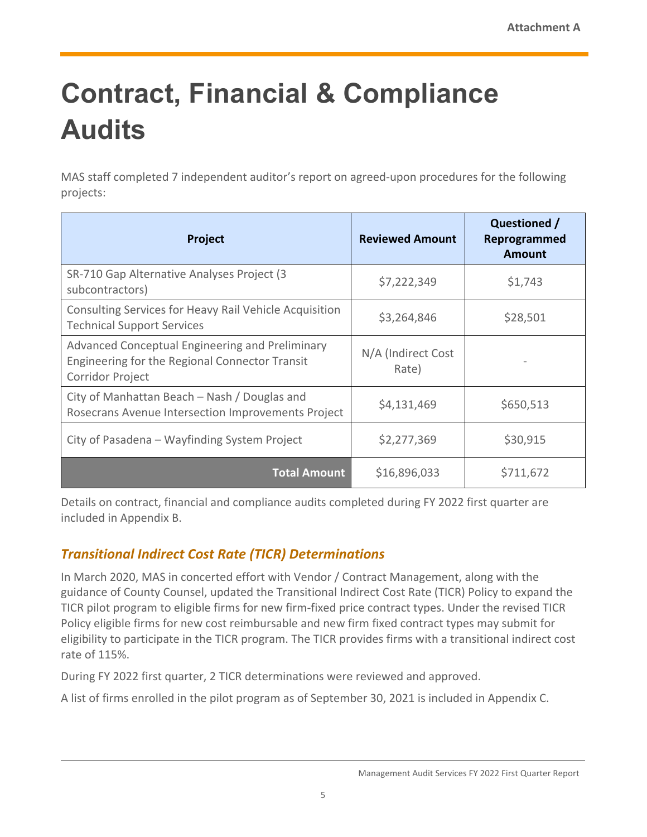# **Contract, Financial & Compliance Audits**

MAS staff completed 7 independent auditor's report on agreed‐upon procedures for the following projects:

| Project                                                                                                                      | <b>Reviewed Amount</b>      | Questioned /<br>Reprogrammed<br>Amount |
|------------------------------------------------------------------------------------------------------------------------------|-----------------------------|----------------------------------------|
| SR-710 Gap Alternative Analyses Project (3<br>subcontractors)                                                                | \$7,222,349                 | \$1,743                                |
| Consulting Services for Heavy Rail Vehicle Acquisition<br><b>Technical Support Services</b>                                  | \$3,264,846                 | \$28,501                               |
| Advanced Conceptual Engineering and Preliminary<br>Engineering for the Regional Connector Transit<br><b>Corridor Project</b> | N/A (Indirect Cost<br>Rate) |                                        |
| City of Manhattan Beach - Nash / Douglas and<br>Rosecrans Avenue Intersection Improvements Project                           | \$4,131,469                 | \$650,513                              |
| City of Pasadena - Wayfinding System Project                                                                                 | \$2,277,369                 | \$30,915                               |
| <b>Total Amount</b>                                                                                                          | \$16,896,033                | \$711,672                              |

Details on contract, financial and compliance audits completed during FY 2022 first quarter are included in Appendix B.

# *Transitional Indirect Cost Rate (TICR) Determinations*

In March 2020, MAS in concerted effort with Vendor / Contract Management, along with the guidance of County Counsel, updated the Transitional Indirect Cost Rate (TICR) Policy to expand the TICR pilot program to eligible firms for new firm‐fixed price contract types. Under the revised TICR Policy eligible firms for new cost reimbursable and new firm fixed contract types may submit for eligibility to participate in the TICR program. The TICR provides firms with a transitional indirect cost rate of 115%.

During FY 2022 first quarter, 2 TICR determinations were reviewed and approved.

A list of firms enrolled in the pilot program as of September 30, 2021 is included in Appendix C.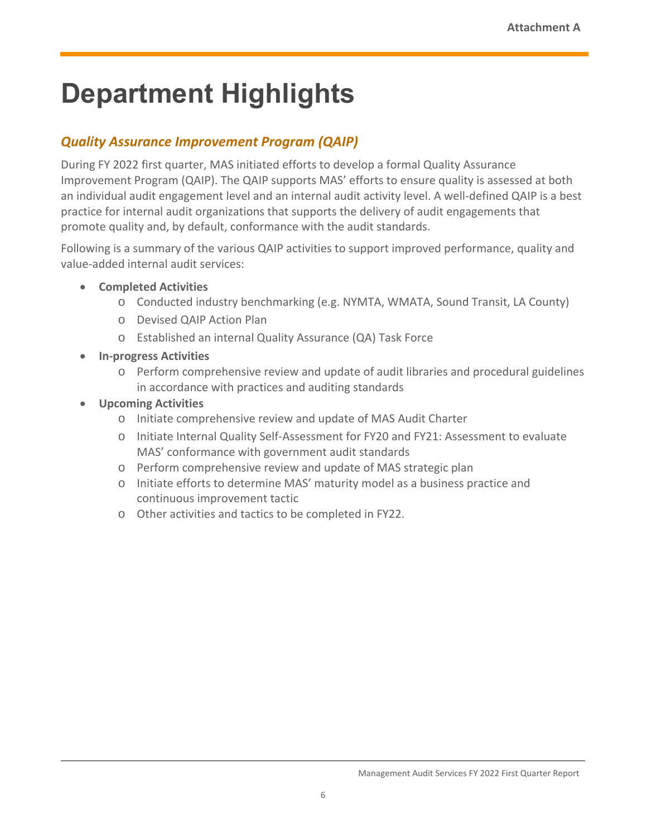# **Department Highlights**

# *Quality Assurance Improvement Program (QAIP)*

During FY 2022 first quarter, MAS initiated efforts to develop a formal Quality Assurance Improvement Program (QAIP). The QAIP supports MAS' efforts to ensure quality is assessed at both an individual audit engagement level and an internal audit activity level. A well-defined QAIP is a best practice for internal audit organizations that supports the delivery of audit engagements that promote quality and, by default, conformance with the audit standards.

Following is a summary of the various QAIP activities to support improved performance, quality and value‐added internal audit services:

- **Completed Activities** 
	- o Conducted industry benchmarking (e.g. NYMTA, WMATA, Sound Transit, LA County)
	- o Devised QAIP Action Plan
	- o Established an internal Quality Assurance (QA) Task Force
- **In‐progress Activities** 
	- o Perform comprehensive review and update of audit libraries and procedural guidelines in accordance with practices and auditing standards
- **Upcoming Activities** 
	- o Initiate comprehensive review and update of MAS Audit Charter
	- o Initiate Internal Quality Self‐Assessment for FY20 and FY21: Assessment to evaluate MAS' conformance with government audit standards
	- o Perform comprehensive review and update of MAS strategic plan
	- o Initiate efforts to determine MAS' maturity model as a business practice and continuous improvement tactic
	- o Other activities and tactics to be completed in FY22.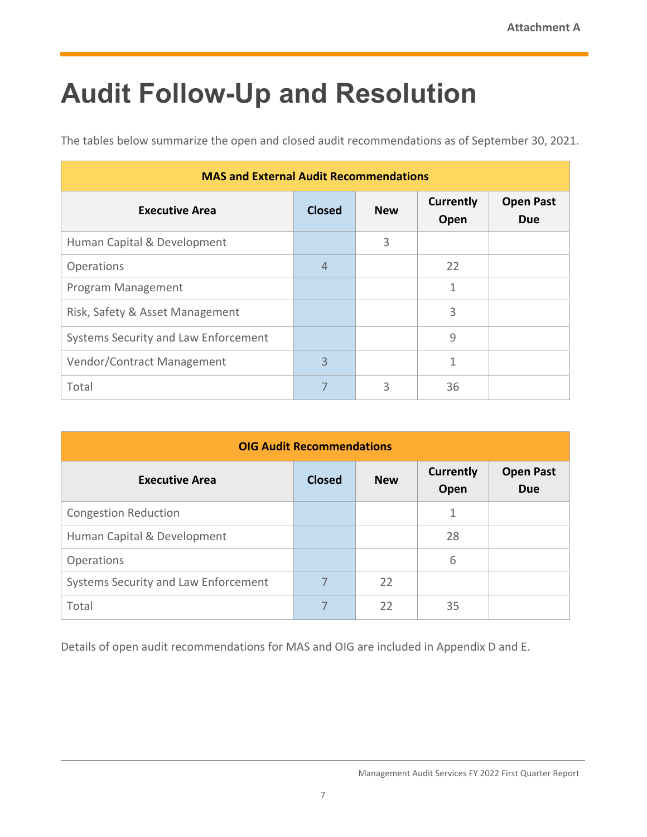# **Audit Follow-Up and Resolution**

The tables below summarize the open and closed audit recommendations as of September 30, 2021.

|                                      | <b>MAS and External Audit Recommendations</b> |            |                          |                                |  |  |  |  |  |
|--------------------------------------|-----------------------------------------------|------------|--------------------------|--------------------------------|--|--|--|--|--|
| <b>Executive Area</b>                | <b>Closed</b>                                 | <b>New</b> | <b>Currently</b><br>Open | <b>Open Past</b><br><b>Due</b> |  |  |  |  |  |
| Human Capital & Development          |                                               | 3          |                          |                                |  |  |  |  |  |
| <b>Operations</b>                    | $\overline{4}$                                |            | 22                       |                                |  |  |  |  |  |
| Program Management                   |                                               |            | 1                        |                                |  |  |  |  |  |
| Risk, Safety & Asset Management      |                                               |            | 3                        |                                |  |  |  |  |  |
| Systems Security and Law Enforcement |                                               |            | 9                        |                                |  |  |  |  |  |
| Vendor/Contract Management           | 3                                             |            | 1                        |                                |  |  |  |  |  |
| Total                                | 7                                             | 3          | 36                       |                                |  |  |  |  |  |

| <b>OIG Audit Recommendations</b>     |               |            |                          |                                |  |  |  |
|--------------------------------------|---------------|------------|--------------------------|--------------------------------|--|--|--|
| <b>Executive Area</b>                | <b>Closed</b> | <b>New</b> | <b>Currently</b><br>Open | <b>Open Past</b><br><b>Due</b> |  |  |  |
| <b>Congestion Reduction</b>          |               |            | 1                        |                                |  |  |  |
| Human Capital & Development          |               |            | 28                       |                                |  |  |  |
| Operations                           |               |            | 6                        |                                |  |  |  |
| Systems Security and Law Enforcement | 7             | 22         |                          |                                |  |  |  |
| Total                                | 7             | 22         | 35                       |                                |  |  |  |

Details of open audit recommendations for MAS and OIG are included in Appendix D and E.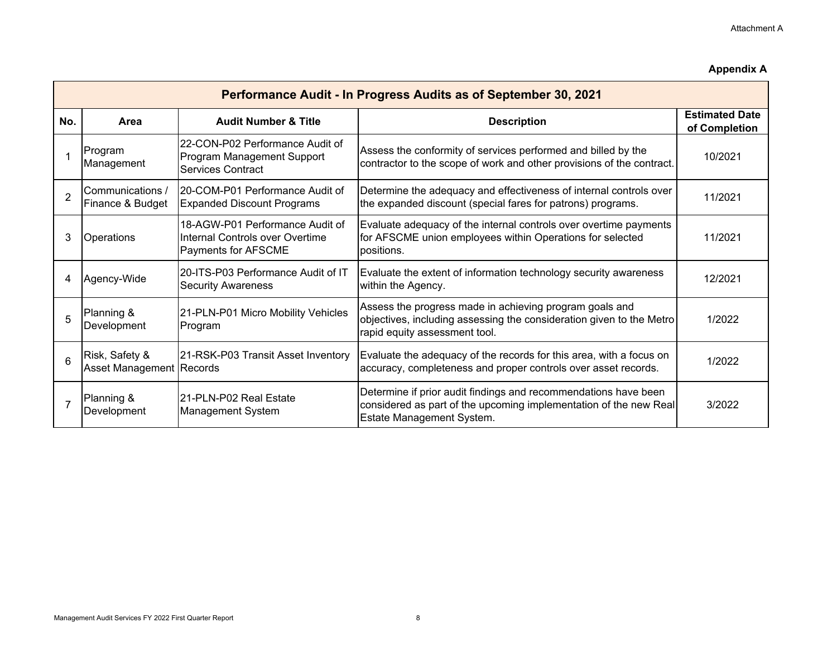### **Appendix A**

|                | Performance Audit - In Progress Audits as of September 30, 2021 |                                                                                           |                                                                                                                                                                   |                                        |  |  |  |  |  |
|----------------|-----------------------------------------------------------------|-------------------------------------------------------------------------------------------|-------------------------------------------------------------------------------------------------------------------------------------------------------------------|----------------------------------------|--|--|--|--|--|
| No.            | Area                                                            | <b>Audit Number &amp; Title</b>                                                           | <b>Description</b>                                                                                                                                                | <b>Estimated Date</b><br>of Completion |  |  |  |  |  |
|                | Program<br>Management                                           | 22-CON-P02 Performance Audit of<br>Program Management Support<br><b>Services Contract</b> | Assess the conformity of services performed and billed by the<br>contractor to the scope of work and other provisions of the contract.                            | 10/2021                                |  |  |  |  |  |
| $\overline{2}$ | Communications /<br>Finance & Budget                            | 20-COM-P01 Performance Audit of<br><b>Expanded Discount Programs</b>                      | Determine the adequacy and effectiveness of internal controls over<br>the expanded discount (special fares for patrons) programs.                                 | 11/2021                                |  |  |  |  |  |
| 3              | Operations                                                      | 18-AGW-P01 Performance Audit of<br>Internal Controls over Overtime<br>Payments for AFSCME | Evaluate adequacy of the internal controls over overtime payments<br>for AFSCME union employees within Operations for selected<br>positions.                      | 11/2021                                |  |  |  |  |  |
| 4              | Agency-Wide                                                     | 20-ITS-P03 Performance Audit of IT<br><b>Security Awareness</b>                           | Evaluate the extent of information technology security awareness<br>within the Agency.                                                                            | 12/2021                                |  |  |  |  |  |
| 5              | Planning &<br>Development                                       | 21-PLN-P01 Micro Mobility Vehicles<br>Program                                             | Assess the progress made in achieving program goals and<br>objectives, including assessing the consideration given to the Metro<br>rapid equity assessment tool.  | 1/2022                                 |  |  |  |  |  |
| 6              | Risk, Safety &<br>Asset Management Records                      | 21-RSK-P03 Transit Asset Inventory                                                        | Evaluate the adequacy of the records for this area, with a focus on<br>accuracy, completeness and proper controls over asset records.                             | 1/2022                                 |  |  |  |  |  |
|                | Planning &<br>Development                                       | 21-PLN-P02 Real Estate<br>Management System                                               | Determine if prior audit findings and recommendations have been<br>considered as part of the upcoming implementation of the new Real<br>Estate Management System. | 3/2022                                 |  |  |  |  |  |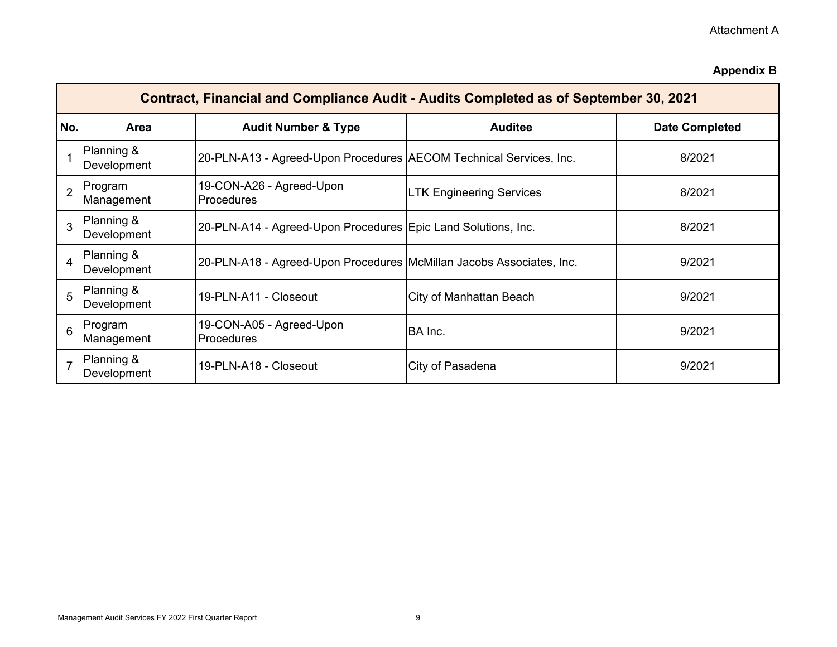## Attachment A

## **Appendix B**

|                | Contract, Financial and Compliance Audit - Audits Completed as of September 30, 2021 |                                                                      |                                 |                       |  |  |  |  |  |  |  |
|----------------|--------------------------------------------------------------------------------------|----------------------------------------------------------------------|---------------------------------|-----------------------|--|--|--|--|--|--|--|
| No.            | <b>Area</b>                                                                          | <b>Audit Number &amp; Type</b>                                       | <b>Auditee</b>                  | <b>Date Completed</b> |  |  |  |  |  |  |  |
|                | Planning &<br>Development                                                            | 20-PLN-A13 - Agreed-Upon Procedures AECOM Technical Services, Inc.   |                                 | 8/2021                |  |  |  |  |  |  |  |
| $\overline{2}$ | Program<br>Management                                                                | 19-CON-A26 - Agreed-Upon<br>Procedures                               | <b>LTK Engineering Services</b> | 8/2021                |  |  |  |  |  |  |  |
| 3              | Planning &<br>Development                                                            | 20-PLN-A14 - Agreed-Upon Procedures Epic Land Solutions, Inc.        |                                 | 8/2021                |  |  |  |  |  |  |  |
| 4              | Planning &<br>Development                                                            | 20-PLN-A18 - Agreed-Upon Procedures McMillan Jacobs Associates, Inc. |                                 | 9/2021                |  |  |  |  |  |  |  |
| 5              | Planning &<br>Development                                                            | 19-PLN-A11 - Closeout                                                | City of Manhattan Beach         | 9/2021                |  |  |  |  |  |  |  |
| 6              | Program<br>Management                                                                | 19-CON-A05 - Agreed-Upon<br><b>Procedures</b>                        | BA Inc.                         | 9/2021                |  |  |  |  |  |  |  |
|                | Planning &<br>Development                                                            | 19-PLN-A18 - Closeout                                                | City of Pasadena                | 9/2021                |  |  |  |  |  |  |  |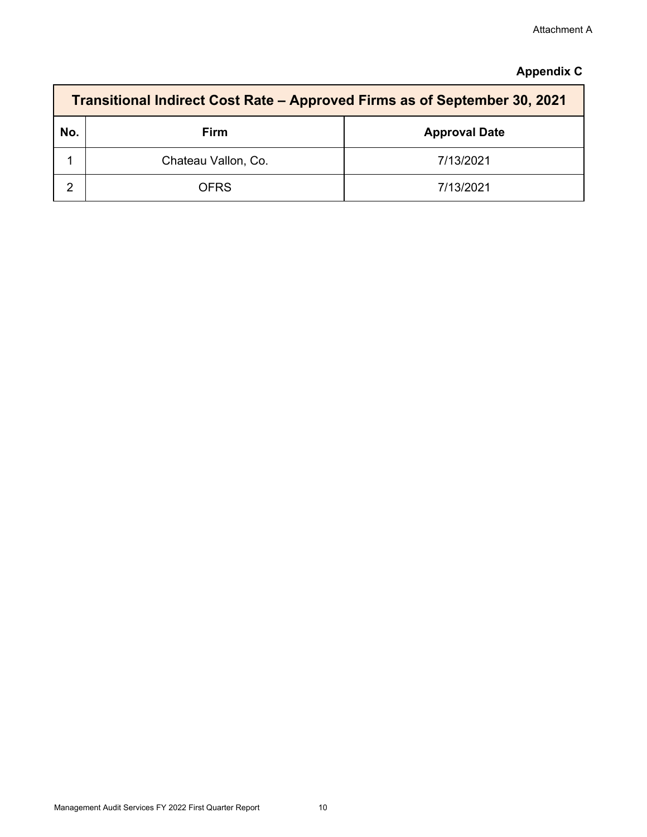## **Appendix C**

|     | Transitional Indirect Cost Rate – Approved Firms as of September 30, 2021 |                      |  |  |  |  |  |  |
|-----|---------------------------------------------------------------------------|----------------------|--|--|--|--|--|--|
| No. | <b>Firm</b>                                                               | <b>Approval Date</b> |  |  |  |  |  |  |
|     | Chateau Vallon, Co.                                                       | 7/13/2021            |  |  |  |  |  |  |
| ⌒   | <b>OFRS</b>                                                               | 7/13/2021            |  |  |  |  |  |  |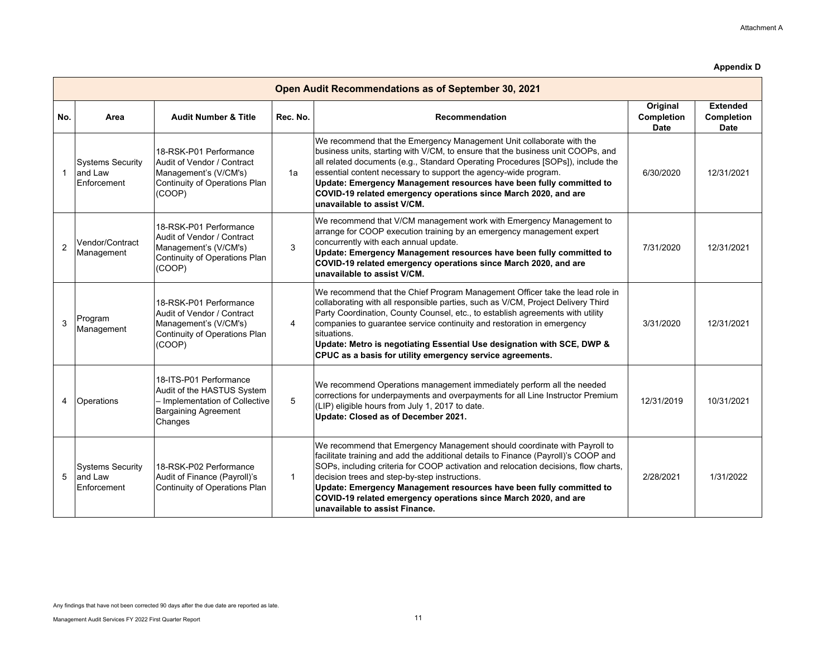|                | Open Audit Recommendations as of September 30, 2021 |                                                                                                                                  |              |                                                                                                                                                                                                                                                                                                                                                                                                                                                                                        |                                       |                                              |  |  |  |
|----------------|-----------------------------------------------------|----------------------------------------------------------------------------------------------------------------------------------|--------------|----------------------------------------------------------------------------------------------------------------------------------------------------------------------------------------------------------------------------------------------------------------------------------------------------------------------------------------------------------------------------------------------------------------------------------------------------------------------------------------|---------------------------------------|----------------------------------------------|--|--|--|
| No.            | Area                                                | <b>Audit Number &amp; Title</b>                                                                                                  | Rec. No.     | <b>Recommendation</b>                                                                                                                                                                                                                                                                                                                                                                                                                                                                  | Original<br>Completion<br><b>Date</b> | <b>Extended</b><br>Completion<br><b>Date</b> |  |  |  |
| $\mathbf{1}$   | <b>Systems Security</b><br>and Law<br>Enforcement   | 18-RSK-P01 Performance<br>Audit of Vendor / Contract<br>Management's (V/CM's)<br>Continuity of Operations Plan<br>(COOP)         | 1a           | We recommend that the Emergency Management Unit collaborate with the<br>business units, starting with V/CM, to ensure that the business unit COOPs, and<br>all related documents (e.g., Standard Operating Procedures [SOPs]), include the<br>essential content necessary to support the agency-wide program.<br>Update: Emergency Management resources have been fully committed to<br>COVID-19 related emergency operations since March 2020, and are<br>unavailable to assist V/CM. | 6/30/2020                             | 12/31/2021                                   |  |  |  |
| $\overline{2}$ | Vendor/Contract<br>Management                       | 18-RSK-P01 Performance<br>Audit of Vendor / Contract<br>Management's (V/CM's)<br>Continuity of Operations Plan<br>(COOP)         | 3            | We recommend that V/CM management work with Emergency Management to<br>arrange for COOP execution training by an emergency management expert<br>concurrently with each annual update.<br>Update: Emergency Management resources have been fully committed to<br>COVID-19 related emergency operations since March 2020, and are<br>unavailable to assist V/CM.                                                                                                                         | 7/31/2020                             | 12/31/2021                                   |  |  |  |
| 3              | Program<br>Management                               | 18-RSK-P01 Performance<br>Audit of Vendor / Contract<br>Management's (V/CM's)<br>Continuity of Operations Plan<br>(COOP)         | 4            | We recommend that the Chief Program Management Officer take the lead role in<br>collaborating with all responsible parties, such as V/CM, Project Delivery Third<br>Party Coordination, County Counsel, etc., to establish agreements with utility<br>companies to guarantee service continuity and restoration in emergency<br>situations.<br>Update: Metro is negotiating Essential Use designation with SCE, DWP &<br>CPUC as a basis for utility emergency service agreements.     | 3/31/2020                             | 12/31/2021                                   |  |  |  |
| $\overline{4}$ | Operations                                          | 18-ITS-P01 Performance<br>Audit of the HASTUS System<br>- Implementation of Collective<br><b>Bargaining Agreement</b><br>Changes | 5            | We recommend Operations management immediately perform all the needed<br>corrections for underpayments and overpayments for all Line Instructor Premium<br>(LIP) eligible hours from July 1, 2017 to date.<br>Update: Closed as of December 2021.                                                                                                                                                                                                                                      | 12/31/2019                            | 10/31/2021                                   |  |  |  |
| 5              | <b>Systems Security</b><br>and Law<br>Enforcement   | 18-RSK-P02 Performance<br>Audit of Finance (Payroll)'s<br>Continuity of Operations Plan                                          | $\mathbf{1}$ | We recommend that Emergency Management should coordinate with Payroll to<br>facilitate training and add the additional details to Finance (Payroll)'s COOP and<br>SOPs, including criteria for COOP activation and relocation decisions, flow charts,<br>decision trees and step-by-step instructions.<br>Update: Emergency Management resources have been fully committed to<br>COVID-19 related emergency operations since March 2020, and are<br>unavailable to assist Finance.     | 2/28/2021                             | 1/31/2022                                    |  |  |  |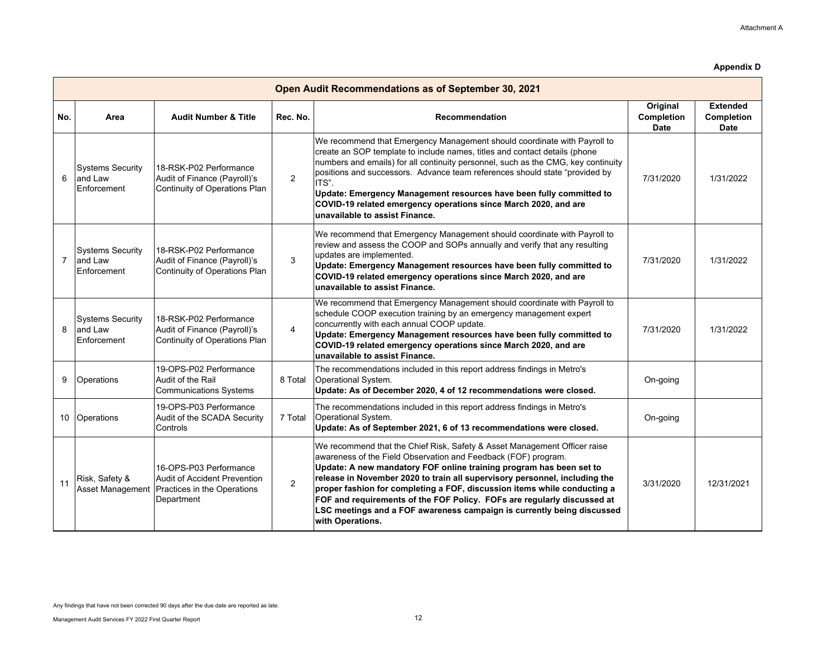|                | Open Audit Recommendations as of September 30, 2021 |                                                                                                                      |                |                                                                                                                                                                                                                                                                                                                                                                                                                                                                                                                                                       |                                       |                                              |  |  |  |
|----------------|-----------------------------------------------------|----------------------------------------------------------------------------------------------------------------------|----------------|-------------------------------------------------------------------------------------------------------------------------------------------------------------------------------------------------------------------------------------------------------------------------------------------------------------------------------------------------------------------------------------------------------------------------------------------------------------------------------------------------------------------------------------------------------|---------------------------------------|----------------------------------------------|--|--|--|
| No.            | Area                                                | <b>Audit Number &amp; Title</b>                                                                                      | Rec. No.       | <b>Recommendation</b>                                                                                                                                                                                                                                                                                                                                                                                                                                                                                                                                 | Original<br>Completion<br><b>Date</b> | <b>Extended</b><br>Completion<br><b>Date</b> |  |  |  |
| 6              | <b>Systems Security</b><br>and Law<br>Enforcement   | 18-RSK-P02 Performance<br>Audit of Finance (Payroll)'s<br>Continuity of Operations Plan                              | 2              | We recommend that Emergency Management should coordinate with Payroll to<br>create an SOP template to include names, titles and contact details (phone<br>numbers and emails) for all continuity personnel, such as the CMG, key continuity<br>positions and successors. Advance team references should state "provided by<br>ITS".<br>Update: Emergency Management resources have been fully committed to<br>COVID-19 related emergency operations since March 2020, and are<br>unavailable to assist Finance.                                       | 7/31/2020                             | 1/31/2022                                    |  |  |  |
| $\overline{7}$ | <b>Systems Security</b><br>and Law<br>Enforcement   | 18-RSK-P02 Performance<br>Audit of Finance (Payroll)'s<br>Continuity of Operations Plan                              | 3              | We recommend that Emergency Management should coordinate with Payroll to<br>review and assess the COOP and SOPs annually and verify that any resulting<br>updates are implemented.<br>Update: Emergency Management resources have been fully committed to<br>COVID-19 related emergency operations since March 2020, and are<br>unavailable to assist Finance.                                                                                                                                                                                        | 7/31/2020                             | 1/31/2022                                    |  |  |  |
| 8              | <b>Systems Security</b><br>and Law<br>Enforcement   | l18-RSK-P02 Performance<br>Audit of Finance (Payroll)'s<br>Continuity of Operations Plan                             | $\overline{4}$ | We recommend that Emergency Management should coordinate with Payroll to<br>schedule COOP execution training by an emergency management expert<br>concurrently with each annual COOP update.<br>Update: Emergency Management resources have been fully committed to<br>COVID-19 related emergency operations since March 2020, and are<br>unavailable to assist Finance.                                                                                                                                                                              | 7/31/2020                             | 1/31/2022                                    |  |  |  |
| 9              | <b>Operations</b>                                   | 19-OPS-P02 Performance<br>Audit of the Rail<br><b>Communications Systems</b>                                         | 8 Total        | The recommendations included in this report address findings in Metro's<br>Operational System.<br>Update: As of December 2020, 4 of 12 recommendations were closed.                                                                                                                                                                                                                                                                                                                                                                                   | On-going                              |                                              |  |  |  |
| 10             | Operations                                          | 19-OPS-P03 Performance<br>Audit of the SCADA Security<br>Controls                                                    | 7 Total        | The recommendations included in this report address findings in Metro's<br>Operational System.<br>Update: As of September 2021, 6 of 13 recommendations were closed.                                                                                                                                                                                                                                                                                                                                                                                  | On-going                              |                                              |  |  |  |
| 11             | Risk, Safety &                                      | 16-OPS-P03 Performance<br>Audit of Accident Prevention<br>Asset Management Practices in the Operations<br>Department | $\overline{2}$ | We recommend that the Chief Risk, Safety & Asset Management Officer raise<br>awareness of the Field Observation and Feedback (FOF) program.<br>Update: A new mandatory FOF online training program has been set to<br>release in November 2020 to train all supervisory personnel, including the<br>proper fashion for completing a FOF, discussion items while conducting a<br>FOF and requirements of the FOF Policy. FOFs are regularly discussed at<br>LSC meetings and a FOF awareness campaign is currently being discussed<br>with Operations. | 3/31/2020                             | 12/31/2021                                   |  |  |  |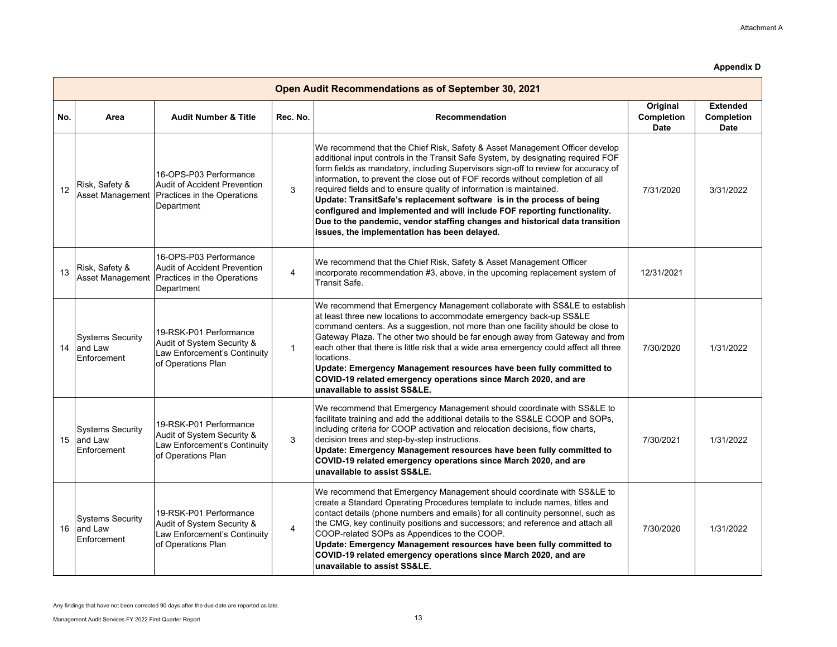|     | Open Audit Recommendations as of September 30, 2021 |                                                                                                            |                |                                                                                                                                                                                                                                                                                                                                                                                                                                                                                                                                                                                                                                                                                                     |                                       |                                              |  |  |
|-----|-----------------------------------------------------|------------------------------------------------------------------------------------------------------------|----------------|-----------------------------------------------------------------------------------------------------------------------------------------------------------------------------------------------------------------------------------------------------------------------------------------------------------------------------------------------------------------------------------------------------------------------------------------------------------------------------------------------------------------------------------------------------------------------------------------------------------------------------------------------------------------------------------------------------|---------------------------------------|----------------------------------------------|--|--|
| No. | Area                                                | <b>Audit Number &amp; Title</b>                                                                            | Rec. No.       | Recommendation                                                                                                                                                                                                                                                                                                                                                                                                                                                                                                                                                                                                                                                                                      | Original<br>Completion<br><b>Date</b> | <b>Extended</b><br>Completion<br><b>Date</b> |  |  |
| 12  | Risk, Safety &<br>Asset Management                  | 16-OPS-P03 Performance<br><b>Audit of Accident Prevention</b><br>Practices in the Operations<br>Department | 3              | We recommend that the Chief Risk, Safety & Asset Management Officer develop<br>additional input controls in the Transit Safe System, by designating required FOF<br>form fields as mandatory, including Supervisors sign-off to review for accuracy of<br>information, to prevent the close out of FOF records without completion of all<br>required fields and to ensure quality of information is maintained.<br>Update: TransitSafe's replacement software is in the process of being<br>configured and implemented and will include FOF reporting functionality.<br>Due to the pandemic, vendor staffing changes and historical data transition<br>issues, the implementation has been delayed. | 7/31/2020                             | 3/31/2022                                    |  |  |
| 13  | Risk, Safety &<br>Asset Management                  | 16-OPS-P03 Performance<br><b>Audit of Accident Prevention</b><br>Practices in the Operations<br>Department | $\overline{4}$ | We recommend that the Chief Risk, Safety & Asset Management Officer<br>incorporate recommendation #3, above, in the upcoming replacement system of<br>Transit Safe.                                                                                                                                                                                                                                                                                                                                                                                                                                                                                                                                 | 12/31/2021                            |                                              |  |  |
| 14  | <b>Systems Security</b><br>and Law<br>Enforcement   | 19-RSK-P01 Performance<br>Audit of System Security &<br>Law Enforcement's Continuity<br>of Operations Plan | $\mathbf{1}$   | We recommend that Emergency Management collaborate with SS&LE to establish<br>at least three new locations to accommodate emergency back-up SS&LE<br>command centers. As a suggestion, not more than one facility should be close to<br>Gateway Plaza. The other two should be far enough away from Gateway and from<br>each other that there is little risk that a wide area emergency could affect all three<br>locations.<br>Update: Emergency Management resources have been fully committed to<br>COVID-19 related emergency operations since March 2020, and are<br>unavailable to assist SS&LE.                                                                                              | 7/30/2020                             | 1/31/2022                                    |  |  |
| 15  | <b>Systems Security</b><br>and Law<br>Enforcement   | 19-RSK-P01 Performance<br>Audit of System Security &<br>Law Enforcement's Continuity<br>of Operations Plan | 3              | We recommend that Emergency Management should coordinate with SS&LE to<br>facilitate training and add the additional details to the SS&LE COOP and SOPs,<br>including criteria for COOP activation and relocation decisions, flow charts,<br>decision trees and step-by-step instructions.<br>Update: Emergency Management resources have been fully committed to<br>COVID-19 related emergency operations since March 2020, and are<br>unavailable to assist SS&LE.                                                                                                                                                                                                                                | 7/30/2021                             | 1/31/2022                                    |  |  |
| 16  | <b>Systems Security</b><br>and Law<br>Enforcement   | 19-RSK-P01 Performance<br>Audit of System Security &<br>Law Enforcement's Continuity<br>of Operations Plan | 4              | We recommend that Emergency Management should coordinate with SS&LE to<br>create a Standard Operating Procedures template to include names, titles and<br>contact details (phone numbers and emails) for all continuity personnel, such as<br>the CMG, key continuity positions and successors; and reference and attach all<br>COOP-related SOPs as Appendices to the COOP.<br>Update: Emergency Management resources have been fully committed to<br>COVID-19 related emergency operations since March 2020, and are<br>unavailable to assist SS&LE.                                                                                                                                              | 7/30/2020                             | 1/31/2022                                    |  |  |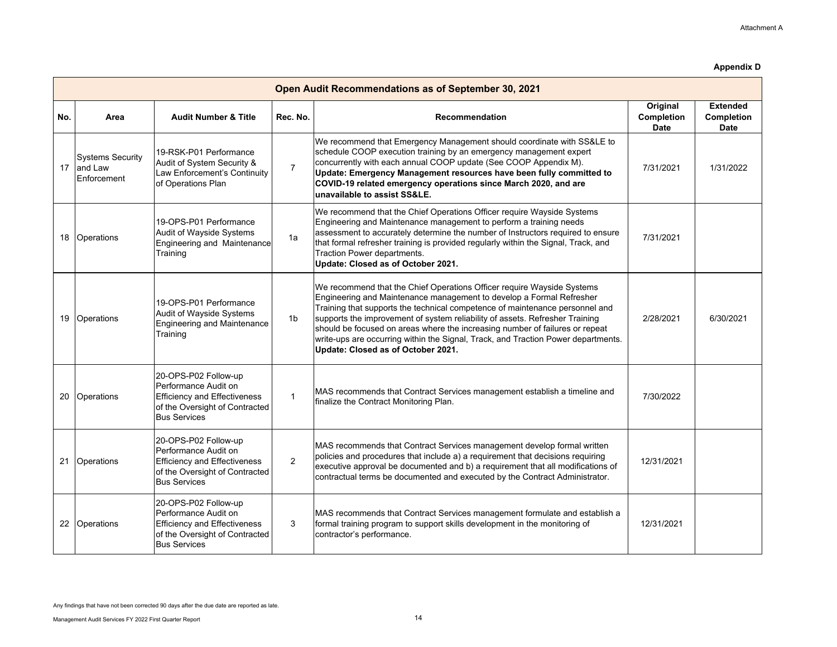|     | Open Audit Recommendations as of September 30, 2021 |                                                                                                                                              |                |                                                                                                                                                                                                                                                                                                                                                                                                                                                                                                                           |                                       |                                              |  |  |  |  |
|-----|-----------------------------------------------------|----------------------------------------------------------------------------------------------------------------------------------------------|----------------|---------------------------------------------------------------------------------------------------------------------------------------------------------------------------------------------------------------------------------------------------------------------------------------------------------------------------------------------------------------------------------------------------------------------------------------------------------------------------------------------------------------------------|---------------------------------------|----------------------------------------------|--|--|--|--|
| No. | Area                                                | <b>Audit Number &amp; Title</b>                                                                                                              | Rec. No.       | Recommendation                                                                                                                                                                                                                                                                                                                                                                                                                                                                                                            | Original<br>Completion<br><b>Date</b> | <b>Extended</b><br>Completion<br><b>Date</b> |  |  |  |  |
| 17  | <b>Systems Security</b><br>and Law<br>Enforcement   | 19-RSK-P01 Performance<br>Audit of System Security &<br>Law Enforcement's Continuity<br>of Operations Plan                                   | $\overline{7}$ | We recommend that Emergency Management should coordinate with SS&LE to<br>schedule COOP execution training by an emergency management expert<br>concurrently with each annual COOP update (See COOP Appendix M).<br>Update: Emergency Management resources have been fully committed to<br>COVID-19 related emergency operations since March 2020, and are<br>unavailable to assist SS&LE.                                                                                                                                | 7/31/2021                             | 1/31/2022                                    |  |  |  |  |
| 18  | Operations                                          | 19-OPS-P01 Performance<br>Audit of Wayside Systems<br><b>Engineering and Maintenance</b><br>Training                                         | 1a             | We recommend that the Chief Operations Officer require Wayside Systems<br>Engineering and Maintenance management to perform a training needs<br>assessment to accurately determine the number of Instructors required to ensure<br>that formal refresher training is provided regularly within the Signal, Track, and<br>Traction Power departments.<br>Update: Closed as of October 2021.                                                                                                                                | 7/31/2021                             |                                              |  |  |  |  |
| 19  | Operations                                          | 19-OPS-P01 Performance<br>Audit of Wayside Systems<br><b>Engineering and Maintenance</b><br>Training                                         | 1 <sub>b</sub> | We recommend that the Chief Operations Officer require Wayside Systems<br>Engineering and Maintenance management to develop a Formal Refresher<br>Training that supports the technical competence of maintenance personnel and<br>supports the improvement of system reliability of assets. Refresher Training<br>should be focused on areas where the increasing number of failures or repeat<br>write-ups are occurring within the Signal, Track, and Traction Power departments.<br>Update: Closed as of October 2021. | 2/28/2021                             | 6/30/2021                                    |  |  |  |  |
| 20  | Operations                                          | 20-OPS-P02 Follow-up<br>Performance Audit on<br><b>Efficiency and Effectiveness</b><br>of the Oversight of Contracted<br><b>Bus Services</b> | $\mathbf{1}$   | MAS recommends that Contract Services management establish a timeline and<br>finalize the Contract Monitoring Plan.                                                                                                                                                                                                                                                                                                                                                                                                       | 7/30/2022                             |                                              |  |  |  |  |
| 21  | Operations                                          | 20-OPS-P02 Follow-up<br>Performance Audit on<br><b>Efficiency and Effectiveness</b><br>of the Oversight of Contracted<br><b>Bus Services</b> | 2              | MAS recommends that Contract Services management develop formal written<br>policies and procedures that include a) a requirement that decisions requiring<br>executive approval be documented and b) a requirement that all modifications of<br>contractual terms be documented and executed by the Contract Administrator.                                                                                                                                                                                               | 12/31/2021                            |                                              |  |  |  |  |
| 22  | Operations                                          | 20-OPS-P02 Follow-up<br>Performance Audit on<br><b>Efficiency and Effectiveness</b><br>of the Oversight of Contracted<br><b>Bus Services</b> | 3              | MAS recommends that Contract Services management formulate and establish a<br>formal training program to support skills development in the monitoring of<br>contractor's performance.                                                                                                                                                                                                                                                                                                                                     | 12/31/2021                            |                                              |  |  |  |  |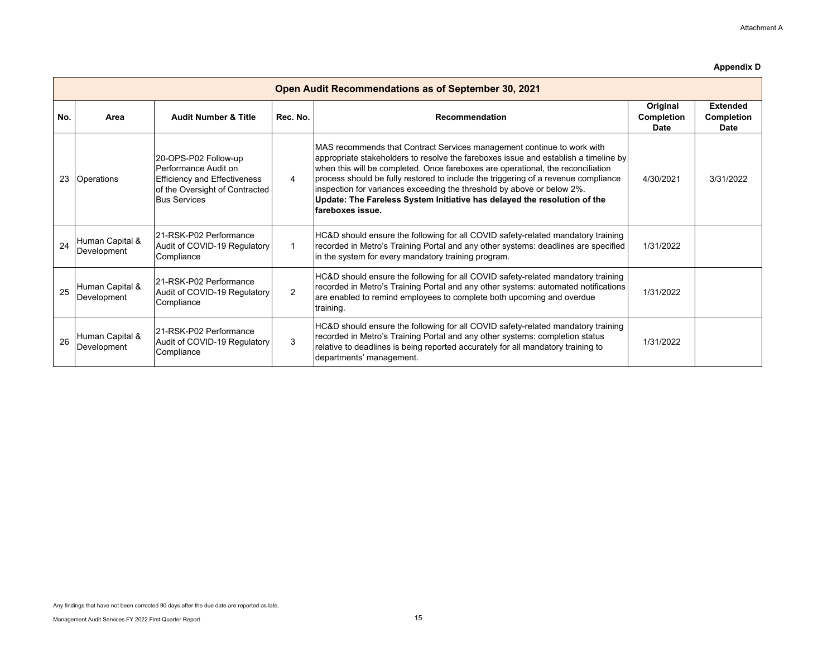|     | Open Audit Recommendations as of September 30, 2021 |                                                                                                                                              |                |                                                                                                                                                                                                                                                                                                                                                                                                                                                                                                                      |                                |                                       |  |  |  |
|-----|-----------------------------------------------------|----------------------------------------------------------------------------------------------------------------------------------------------|----------------|----------------------------------------------------------------------------------------------------------------------------------------------------------------------------------------------------------------------------------------------------------------------------------------------------------------------------------------------------------------------------------------------------------------------------------------------------------------------------------------------------------------------|--------------------------------|---------------------------------------|--|--|--|
| No. | Area                                                | <b>Audit Number &amp; Title</b>                                                                                                              | Rec. No.       | Recommendation                                                                                                                                                                                                                                                                                                                                                                                                                                                                                                       | Original<br>Completion<br>Date | <b>Extended</b><br>Completion<br>Date |  |  |  |
| 23  | <b>Operations</b>                                   | 20-OPS-P02 Follow-up<br>Performance Audit on<br><b>Efficiency and Effectiveness</b><br>of the Oversight of Contracted<br><b>Bus Services</b> | 4              | MAS recommends that Contract Services management continue to work with<br>$ $ appropriate stakeholders to resolve the fareboxes issue and establish a timeline by<br>when this will be completed. Once fareboxes are operational, the reconciliation<br>process should be fully restored to include the triggering of a revenue compliance<br>inspection for variances exceeding the threshold by above or below 2%.<br>Update: The Fareless System Initiative has delayed the resolution of the<br>fareboxes issue. | 4/30/2021                      | 3/31/2022                             |  |  |  |
| 24  | Human Capital &<br>Development                      | 21-RSK-P02 Performance<br>Audit of COVID-19 Regulatory<br>Compliance                                                                         |                | HC&D should ensure the following for all COVID safety-related mandatory training<br>recorded in Metro's Training Portal and any other systems: deadlines are specified<br>in the system for every mandatory training program.                                                                                                                                                                                                                                                                                        | 1/31/2022                      |                                       |  |  |  |
| 25  | Human Capital &<br>Development                      | 21-RSK-P02 Performance<br>Audit of COVID-19 Regulatory<br>Compliance                                                                         | $\mathfrak{p}$ | HC&D should ensure the following for all COVID safety-related mandatory training<br>recorded in Metro's Training Portal and any other systems: automated notifications<br>are enabled to remind employees to complete both upcoming and overdue<br>training.                                                                                                                                                                                                                                                         | 1/31/2022                      |                                       |  |  |  |
| 26  | Human Capital &<br>Development                      | 121-RSK-P02 Performance<br>Audit of COVID-19 Regulatory<br>Compliance                                                                        | 3              | HC&D should ensure the following for all COVID safety-related mandatory training<br>recorded in Metro's Training Portal and any other systems: completion status<br>relative to deadlines is being reported accurately for all mandatory training to<br>departments' management.                                                                                                                                                                                                                                     | 1/31/2022                      |                                       |  |  |  |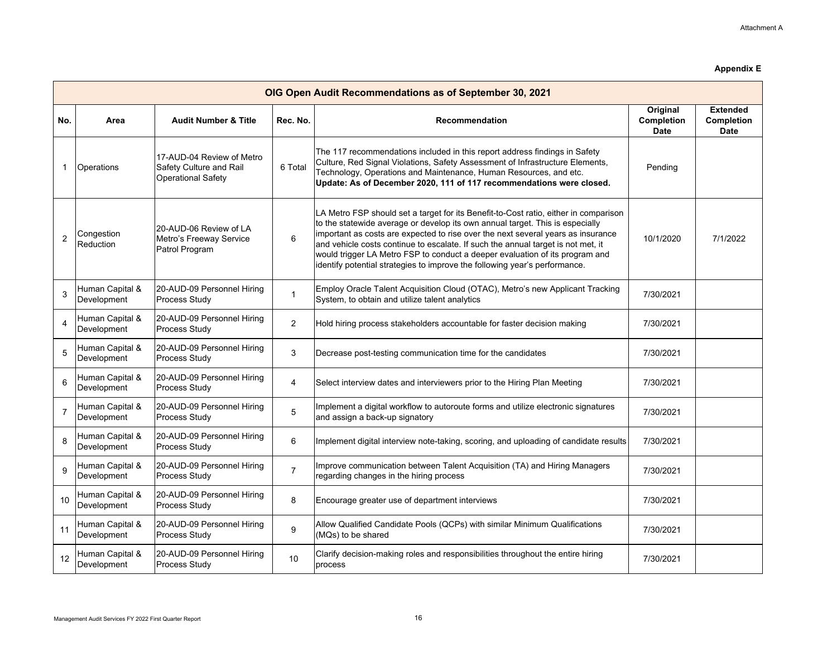|                | OIG Open Audit Recommendations as of September 30, 2021 |                                                                                   |                |                                                                                                                                                                                                                                                                                                                                                                                                                                                                                                             |                                       |                                              |  |  |  |
|----------------|---------------------------------------------------------|-----------------------------------------------------------------------------------|----------------|-------------------------------------------------------------------------------------------------------------------------------------------------------------------------------------------------------------------------------------------------------------------------------------------------------------------------------------------------------------------------------------------------------------------------------------------------------------------------------------------------------------|---------------------------------------|----------------------------------------------|--|--|--|
| No.            | Area                                                    | <b>Audit Number &amp; Title</b>                                                   | Rec. No.       | <b>Recommendation</b>                                                                                                                                                                                                                                                                                                                                                                                                                                                                                       | Original<br>Completion<br><b>Date</b> | <b>Extended</b><br>Completion<br><b>Date</b> |  |  |  |
| $\mathbf 1$    | <b>Operations</b>                                       | 17-AUD-04 Review of Metro<br>Safety Culture and Rail<br><b>Operational Safety</b> | 6 Total        | The 117 recommendations included in this report address findings in Safety<br>Culture, Red Signal Violations, Safety Assessment of Infrastructure Elements,<br>Technology, Operations and Maintenance, Human Resources, and etc.<br>Update: As of December 2020, 111 of 117 recommendations were closed.                                                                                                                                                                                                    | Pending                               |                                              |  |  |  |
| $\overline{2}$ | Congestion<br>Reduction                                 | 20-AUD-06 Review of LA<br>Metro's Freeway Service<br>Patrol Program               | $6\phantom{1}$ | LA Metro FSP should set a target for its Benefit-to-Cost ratio, either in comparison<br>to the statewide average or develop its own annual target. This is especially<br>important as costs are expected to rise over the next several years as insurance<br>and vehicle costs continue to escalate. If such the annual target is not met, it<br>would trigger LA Metro FSP to conduct a deeper evaluation of its program and<br>identify potential strategies to improve the following year's performance. | 10/1/2020                             | 7/1/2022                                     |  |  |  |
| 3              | Human Capital &<br>Development                          | 20-AUD-09 Personnel Hiring<br>Process Study                                       | $\mathbf{1}$   | Employ Oracle Talent Acquisition Cloud (OTAC), Metro's new Applicant Tracking<br>System, to obtain and utilize talent analytics                                                                                                                                                                                                                                                                                                                                                                             | 7/30/2021                             |                                              |  |  |  |
| 4              | Human Capital &<br>Development                          | 20-AUD-09 Personnel Hiring<br>Process Study                                       | $\overline{2}$ | Hold hiring process stakeholders accountable for faster decision making                                                                                                                                                                                                                                                                                                                                                                                                                                     | 7/30/2021                             |                                              |  |  |  |
| 5              | Human Capital &<br>Development                          | 20-AUD-09 Personnel Hiring<br>Process Study                                       | 3              | Decrease post-testing communication time for the candidates                                                                                                                                                                                                                                                                                                                                                                                                                                                 | 7/30/2021                             |                                              |  |  |  |
| 6              | Human Capital &<br>Development                          | 20-AUD-09 Personnel Hiring<br><b>Process Study</b>                                | 4              | Select interview dates and interviewers prior to the Hiring Plan Meeting                                                                                                                                                                                                                                                                                                                                                                                                                                    | 7/30/2021                             |                                              |  |  |  |
| $\overline{7}$ | Human Capital &<br>Development                          | 20-AUD-09 Personnel Hiring<br>Process Study                                       | 5              | Implement a digital workflow to autoroute forms and utilize electronic signatures<br>and assign a back-up signatory                                                                                                                                                                                                                                                                                                                                                                                         | 7/30/2021                             |                                              |  |  |  |
| 8              | Human Capital &<br>Development                          | 20-AUD-09 Personnel Hiring<br>Process Study                                       | 6              | Implement digital interview note-taking, scoring, and uploading of candidate results                                                                                                                                                                                                                                                                                                                                                                                                                        | 7/30/2021                             |                                              |  |  |  |
| 9              | Human Capital &<br>Development                          | 20-AUD-09 Personnel Hiring<br>Process Study                                       | $\overline{7}$ | Improve communication between Talent Acquisition (TA) and Hiring Managers<br>regarding changes in the hiring process                                                                                                                                                                                                                                                                                                                                                                                        | 7/30/2021                             |                                              |  |  |  |
| 10             | Human Capital &<br>Development                          | 20-AUD-09 Personnel Hiring<br>Process Study                                       | 8              | Encourage greater use of department interviews                                                                                                                                                                                                                                                                                                                                                                                                                                                              | 7/30/2021                             |                                              |  |  |  |
| 11             | Human Capital &<br>Development                          | 20-AUD-09 Personnel Hiring<br>Process Study                                       | 9              | Allow Qualified Candidate Pools (QCPs) with similar Minimum Qualifications<br>(MQs) to be shared                                                                                                                                                                                                                                                                                                                                                                                                            | 7/30/2021                             |                                              |  |  |  |
| 12             | Human Capital &<br>Development                          | 20-AUD-09 Personnel Hiring<br>Process Study                                       | 10             | Clarify decision-making roles and responsibilities throughout the entire hiring<br>process                                                                                                                                                                                                                                                                                                                                                                                                                  | 7/30/2021                             |                                              |  |  |  |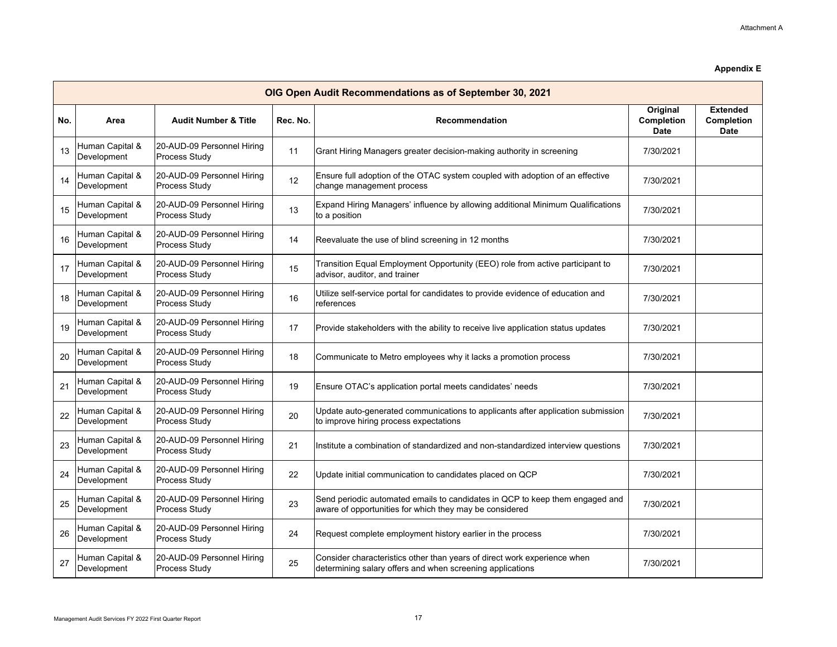|     | OIG Open Audit Recommendations as of September 30, 2021 |                                             |          |                                                                                                                                         |                                       |                                              |  |  |
|-----|---------------------------------------------------------|---------------------------------------------|----------|-----------------------------------------------------------------------------------------------------------------------------------------|---------------------------------------|----------------------------------------------|--|--|
| No. | Area                                                    | <b>Audit Number &amp; Title</b>             | Rec. No. | <b>Recommendation</b>                                                                                                                   | Original<br>Completion<br><b>Date</b> | <b>Extended</b><br>Completion<br><b>Date</b> |  |  |
| 13  | Human Capital &<br>Development                          | 20-AUD-09 Personnel Hiring<br>Process Study | 11       | Grant Hiring Managers greater decision-making authority in screening                                                                    | 7/30/2021                             |                                              |  |  |
| 14  | Human Capital &<br>Development                          | 20-AUD-09 Personnel Hiring<br>Process Study | 12       | Ensure full adoption of the OTAC system coupled with adoption of an effective<br>change management process                              | 7/30/2021                             |                                              |  |  |
| 15  | Human Capital &<br>Development                          | 20-AUD-09 Personnel Hiring<br>Process Study | 13       | Expand Hiring Managers' influence by allowing additional Minimum Qualifications<br>to a position                                        | 7/30/2021                             |                                              |  |  |
| 16  | Human Capital &<br>Development                          | 20-AUD-09 Personnel Hiring<br>Process Study | 14       | Reevaluate the use of blind screening in 12 months                                                                                      | 7/30/2021                             |                                              |  |  |
| 17  | Human Capital &<br>Development                          | 20-AUD-09 Personnel Hiring<br>Process Study | 15       | Transition Equal Employment Opportunity (EEO) role from active participant to<br>advisor, auditor, and trainer                          | 7/30/2021                             |                                              |  |  |
| 18  | Human Capital &<br>Development                          | 20-AUD-09 Personnel Hiring<br>Process Study | 16       | Utilize self-service portal for candidates to provide evidence of education and<br>references                                           | 7/30/2021                             |                                              |  |  |
| 19  | Human Capital &<br>Development                          | 20-AUD-09 Personnel Hiring<br>Process Study | 17       | Provide stakeholders with the ability to receive live application status updates                                                        | 7/30/2021                             |                                              |  |  |
| 20  | Human Capital &<br>Development                          | 20-AUD-09 Personnel Hiring<br>Process Study | 18       | Communicate to Metro employees why it lacks a promotion process                                                                         | 7/30/2021                             |                                              |  |  |
| 21  | Human Capital &<br>Development                          | 20-AUD-09 Personnel Hiring<br>Process Study | 19       | Ensure OTAC's application portal meets candidates' needs                                                                                | 7/30/2021                             |                                              |  |  |
| 22  | Human Capital &<br>Development                          | 20-AUD-09 Personnel Hiring<br>Process Study | 20       | Update auto-generated communications to applicants after application submission<br>to improve hiring process expectations               | 7/30/2021                             |                                              |  |  |
| 23  | Human Capital &<br>Development                          | 20-AUD-09 Personnel Hiring<br>Process Study | 21       | Institute a combination of standardized and non-standardized interview questions                                                        | 7/30/2021                             |                                              |  |  |
| 24  | Human Capital &<br>Development                          | 20-AUD-09 Personnel Hiring<br>Process Study | 22       | Update initial communication to candidates placed on QCP                                                                                | 7/30/2021                             |                                              |  |  |
| 25  | Human Capital &<br>Development                          | 20-AUD-09 Personnel Hiring<br>Process Study | 23       | Send periodic automated emails to candidates in QCP to keep them engaged and<br>aware of opportunities for which they may be considered | 7/30/2021                             |                                              |  |  |
| 26  | Human Capital &<br>Development                          | 20-AUD-09 Personnel Hiring<br>Process Study | 24       | Request complete employment history earlier in the process                                                                              | 7/30/2021                             |                                              |  |  |
| 27  | Human Capital &<br>Development                          | 20-AUD-09 Personnel Hiring<br>Process Study | 25       | Consider characteristics other than years of direct work experience when<br>determining salary offers and when screening applications   | 7/30/2021                             |                                              |  |  |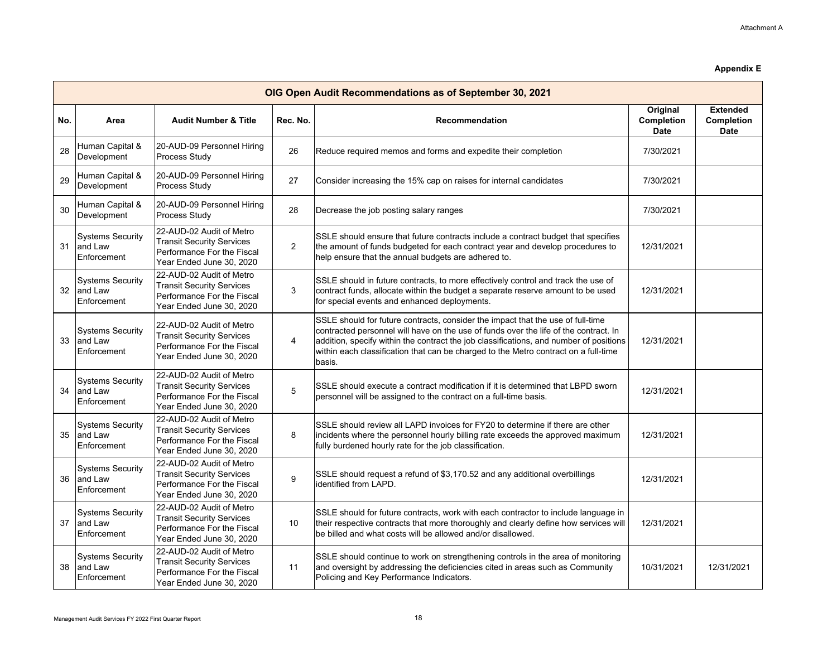|     | OIG Open Audit Recommendations as of September 30, 2021 |                                                                                                                        |                |                                                                                                                                                                                                                                                                                                                                                                    |                                              |                                              |  |  |  |
|-----|---------------------------------------------------------|------------------------------------------------------------------------------------------------------------------------|----------------|--------------------------------------------------------------------------------------------------------------------------------------------------------------------------------------------------------------------------------------------------------------------------------------------------------------------------------------------------------------------|----------------------------------------------|----------------------------------------------|--|--|--|
| No. | Area                                                    | <b>Audit Number &amp; Title</b>                                                                                        | Rec. No.       | <b>Recommendation</b>                                                                                                                                                                                                                                                                                                                                              | Original<br><b>Completion</b><br><b>Date</b> | <b>Extended</b><br><b>Completion</b><br>Date |  |  |  |
| 28  | Human Capital &<br>Development                          | 20-AUD-09 Personnel Hiring<br>Process Study                                                                            | 26             | Reduce required memos and forms and expedite their completion                                                                                                                                                                                                                                                                                                      | 7/30/2021                                    |                                              |  |  |  |
| 29  | Human Capital &<br>Development                          | 20-AUD-09 Personnel Hiring<br>Process Study                                                                            | 27             | Consider increasing the 15% cap on raises for internal candidates                                                                                                                                                                                                                                                                                                  | 7/30/2021                                    |                                              |  |  |  |
| 30  | Human Capital &<br>Development                          | 20-AUD-09 Personnel Hiring<br>Process Study                                                                            | 28             | Decrease the job posting salary ranges                                                                                                                                                                                                                                                                                                                             | 7/30/2021                                    |                                              |  |  |  |
| 31  | <b>Systems Security</b><br>and Law<br>Enforcement       | 22-AUD-02 Audit of Metro<br><b>Transit Security Services</b><br>Performance For the Fiscal<br>Year Ended June 30, 2020 | $\overline{2}$ | SSLE should ensure that future contracts include a contract budget that specifies<br>the amount of funds budgeted for each contract year and develop procedures to<br>help ensure that the annual budgets are adhered to.                                                                                                                                          | 12/31/2021                                   |                                              |  |  |  |
| 32  | <b>Systems Security</b><br>and Law<br>Enforcement       | 22-AUD-02 Audit of Metro<br><b>Transit Security Services</b><br>Performance For the Fiscal<br>Year Ended June 30, 2020 | 3              | SSLE should in future contracts, to more effectively control and track the use of<br>contract funds, allocate within the budget a separate reserve amount to be used<br>for special events and enhanced deployments.                                                                                                                                               | 12/31/2021                                   |                                              |  |  |  |
| 33  | <b>Systems Security</b><br>and Law<br>Enforcement       | 22-AUD-02 Audit of Metro<br><b>Transit Security Services</b><br>Performance For the Fiscal<br>Year Ended June 30, 2020 | 4              | SSLE should for future contracts, consider the impact that the use of full-time<br>contracted personnel will have on the use of funds over the life of the contract. In<br>addition, specify within the contract the job classifications, and number of positions<br>within each classification that can be charged to the Metro contract on a full-time<br>basis. | 12/31/2021                                   |                                              |  |  |  |
| 34  | <b>Systems Security</b><br>and Law<br>Enforcement       | 22-AUD-02 Audit of Metro<br><b>Transit Security Services</b><br>Performance For the Fiscal<br>Year Ended June 30, 2020 | 5              | SSLE should execute a contract modification if it is determined that LBPD sworn<br>personnel will be assigned to the contract on a full-time basis.                                                                                                                                                                                                                | 12/31/2021                                   |                                              |  |  |  |
| 35  | <b>Systems Security</b><br>and Law<br>Enforcement       | 22-AUD-02 Audit of Metro<br><b>Transit Security Services</b><br>Performance For the Fiscal<br>Year Ended June 30, 2020 | 8              | SSLE should review all LAPD invoices for FY20 to determine if there are other<br>incidents where the personnel hourly billing rate exceeds the approved maximum<br>fully burdened hourly rate for the job classification.                                                                                                                                          | 12/31/2021                                   |                                              |  |  |  |
| 36  | <b>Systems Security</b><br>and Law<br>Enforcement       | 22-AUD-02 Audit of Metro<br><b>Transit Security Services</b><br>Performance For the Fiscal<br>Year Ended June 30, 2020 | 9              | SSLE should request a refund of \$3,170.52 and any additional overbillings<br>identified from LAPD.                                                                                                                                                                                                                                                                | 12/31/2021                                   |                                              |  |  |  |
| 37  | <b>Systems Security</b><br>and Law<br>Enforcement       | 22-AUD-02 Audit of Metro<br><b>Transit Security Services</b><br>Performance For the Fiscal<br>Year Ended June 30, 2020 | 10             | SSLE should for future contracts, work with each contractor to include language in<br>their respective contracts that more thoroughly and clearly define how services will<br>be billed and what costs will be allowed and/or disallowed.                                                                                                                          | 12/31/2021                                   |                                              |  |  |  |
| 38  | <b>Systems Security</b><br>and Law<br>Enforcement       | 22-AUD-02 Audit of Metro<br><b>Transit Security Services</b><br>Performance For the Fiscal<br>Year Ended June 30, 2020 | 11             | SSLE should continue to work on strengthening controls in the area of monitoring<br>and oversight by addressing the deficiencies cited in areas such as Community<br>Policing and Key Performance Indicators.                                                                                                                                                      | 10/31/2021                                   | 12/31/2021                                   |  |  |  |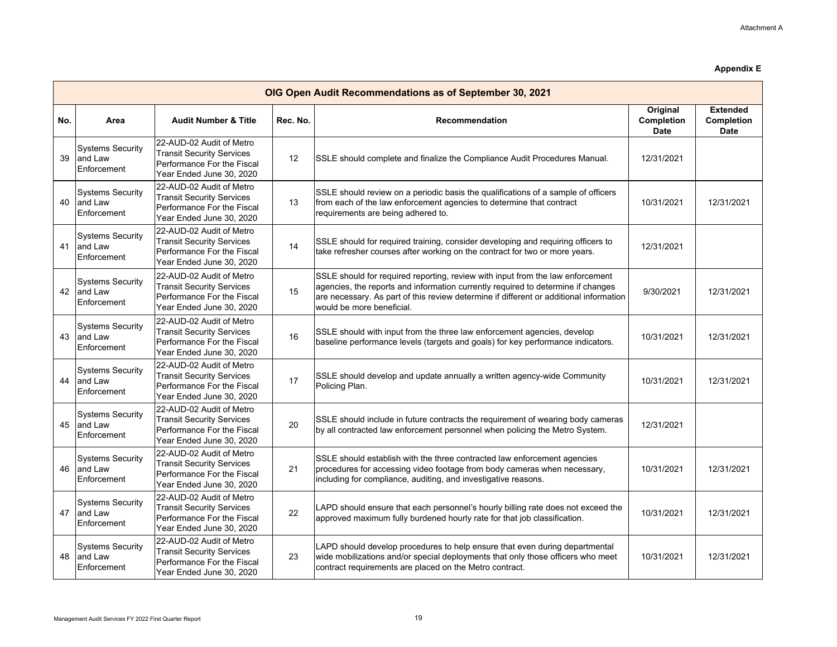|     | OIG Open Audit Recommendations as of September 30, 2021 |                                                                                                                        |          |                                                                                                                                                                                                                                                                                           |                                       |                                                     |  |  |  |
|-----|---------------------------------------------------------|------------------------------------------------------------------------------------------------------------------------|----------|-------------------------------------------------------------------------------------------------------------------------------------------------------------------------------------------------------------------------------------------------------------------------------------------|---------------------------------------|-----------------------------------------------------|--|--|--|
| No. | Area                                                    | <b>Audit Number &amp; Title</b>                                                                                        | Rec. No. | <b>Recommendation</b>                                                                                                                                                                                                                                                                     | Original<br><b>Completion</b><br>Date | <b>Extended</b><br><b>Completion</b><br><b>Date</b> |  |  |  |
| 39  | <b>Systems Security</b><br>and Law<br>Enforcement       | 22-AUD-02 Audit of Metro<br><b>Transit Security Services</b><br>Performance For the Fiscal<br>Year Ended June 30, 2020 | 12       | SSLE should complete and finalize the Compliance Audit Procedures Manual.                                                                                                                                                                                                                 | 12/31/2021                            |                                                     |  |  |  |
| 40  | <b>Systems Security</b><br>and Law<br>Enforcement       | 22-AUD-02 Audit of Metro<br><b>Transit Security Services</b><br>Performance For the Fiscal<br>Year Ended June 30, 2020 | 13       | SSLE should review on a periodic basis the qualifications of a sample of officers<br>from each of the law enforcement agencies to determine that contract<br>requirements are being adhered to.                                                                                           | 10/31/2021                            | 12/31/2021                                          |  |  |  |
| 41  | <b>Systems Security</b><br>and Law<br>Enforcement       | 22-AUD-02 Audit of Metro<br><b>Transit Security Services</b><br>Performance For the Fiscal<br>Year Ended June 30, 2020 | 14       | SSLE should for required training, consider developing and requiring officers to<br>take refresher courses after working on the contract for two or more years.                                                                                                                           | 12/31/2021                            |                                                     |  |  |  |
| 42  | <b>Systems Security</b><br>and Law<br>Enforcement       | 22-AUD-02 Audit of Metro<br><b>Transit Security Services</b><br>Performance For the Fiscal<br>Year Ended June 30, 2020 | 15       | SSLE should for required reporting, review with input from the law enforcement<br>agencies, the reports and information currently required to determine if changes<br>are necessary. As part of this review determine if different or additional information<br>would be more beneficial. | 9/30/2021                             | 12/31/2021                                          |  |  |  |
| 43  | <b>Systems Security</b><br>and Law<br>Enforcement       | 22-AUD-02 Audit of Metro<br><b>Transit Security Services</b><br>Performance For the Fiscal<br>Year Ended June 30, 2020 | 16       | SSLE should with input from the three law enforcement agencies, develop<br>baseline performance levels (targets and goals) for key performance indicators.                                                                                                                                | 10/31/2021                            | 12/31/2021                                          |  |  |  |
| 44  | <b>Systems Security</b><br>and Law<br>Enforcement       | 22-AUD-02 Audit of Metro<br><b>Transit Security Services</b><br>Performance For the Fiscal<br>Year Ended June 30, 2020 | 17       | SSLE should develop and update annually a written agency-wide Community<br>Policing Plan.                                                                                                                                                                                                 | 10/31/2021                            | 12/31/2021                                          |  |  |  |
| 45  | <b>Systems Security</b><br>and Law<br>Enforcement       | 22-AUD-02 Audit of Metro<br><b>Transit Security Services</b><br>Performance For the Fiscal<br>Year Ended June 30, 2020 | 20       | SSLE should include in future contracts the requirement of wearing body cameras<br>by all contracted law enforcement personnel when policing the Metro System.                                                                                                                            | 12/31/2021                            |                                                     |  |  |  |
| 46  | <b>Systems Security</b><br>and Law<br>Enforcement       | 22-AUD-02 Audit of Metro<br><b>Transit Security Services</b><br>Performance For the Fiscal<br>Year Ended June 30, 2020 | 21       | SSLE should establish with the three contracted law enforcement agencies<br>procedures for accessing video footage from body cameras when necessary,<br>including for compliance, auditing, and investigative reasons.                                                                    | 10/31/2021                            | 12/31/2021                                          |  |  |  |
| 47  | <b>Systems Security</b><br>and Law<br>Enforcement       | 22-AUD-02 Audit of Metro<br><b>Transit Security Services</b><br>Performance For the Fiscal<br>Year Ended June 30, 2020 | 22       | LAPD should ensure that each personnel's hourly billing rate does not exceed the<br>approved maximum fully burdened hourly rate for that job classification.                                                                                                                              | 10/31/2021                            | 12/31/2021                                          |  |  |  |
| 48  | <b>Systems Security</b><br>and Law<br>Enforcement       | 22-AUD-02 Audit of Metro<br><b>Transit Security Services</b><br>Performance For the Fiscal<br>Year Ended June 30, 2020 | 23       | LAPD should develop procedures to help ensure that even during departmental<br>wide mobilizations and/or special deployments that only those officers who meet<br>contract requirements are placed on the Metro contract.                                                                 | 10/31/2021                            | 12/31/2021                                          |  |  |  |